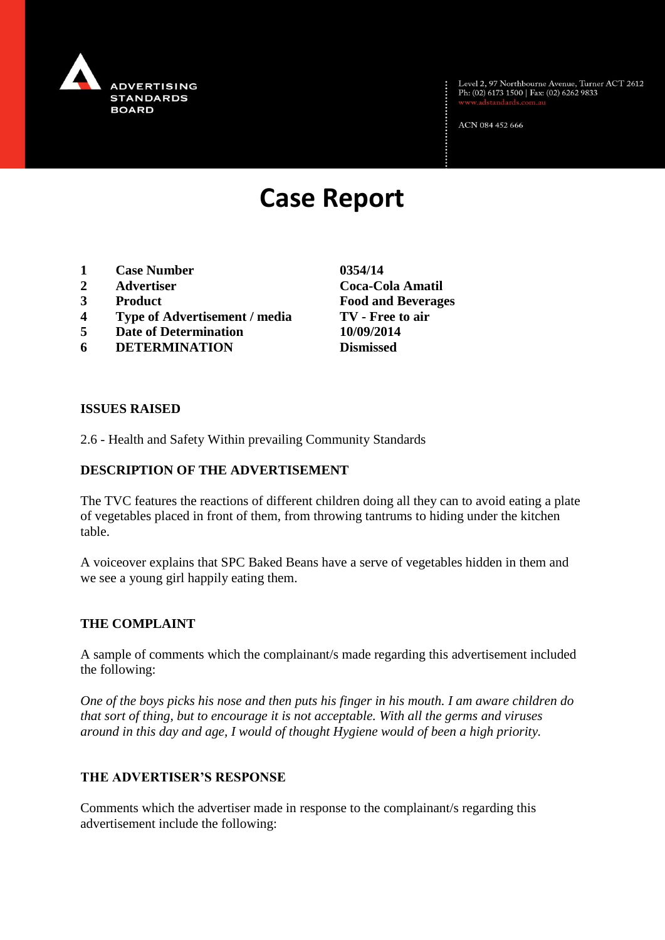

Level 2, 97 Northbourne Avenue, Turner ACT 2612<br>Ph: (02) 6173 1500 | Fax: (02) 6262 9833

ACN 084 452 666

# **Case Report**

- **1 Case Number 0354/14**
- **2 Advertiser Coca-Cola Amatil**
- **3 Product Food and Beverages**
- **4 Type of Advertisement / media TV - Free to air**
- **5 Date of Determination 10/09/2014**
- **6 DETERMINATION Dismissed**

**ISSUES RAISED**

2.6 - Health and Safety Within prevailing Community Standards

### **DESCRIPTION OF THE ADVERTISEMENT**

The TVC features the reactions of different children doing all they can to avoid eating a plate of vegetables placed in front of them, from throwing tantrums to hiding under the kitchen table.

A voiceover explains that SPC Baked Beans have a serve of vegetables hidden in them and we see a young girl happily eating them.

#### **THE COMPLAINT**

A sample of comments which the complainant/s made regarding this advertisement included the following:

*One of the boys picks his nose and then puts his finger in his mouth. I am aware children do that sort of thing, but to encourage it is not acceptable. With all the germs and viruses around in this day and age, I would of thought Hygiene would of been a high priority.*

#### **THE ADVERTISER'S RESPONSE**

Comments which the advertiser made in response to the complainant/s regarding this advertisement include the following: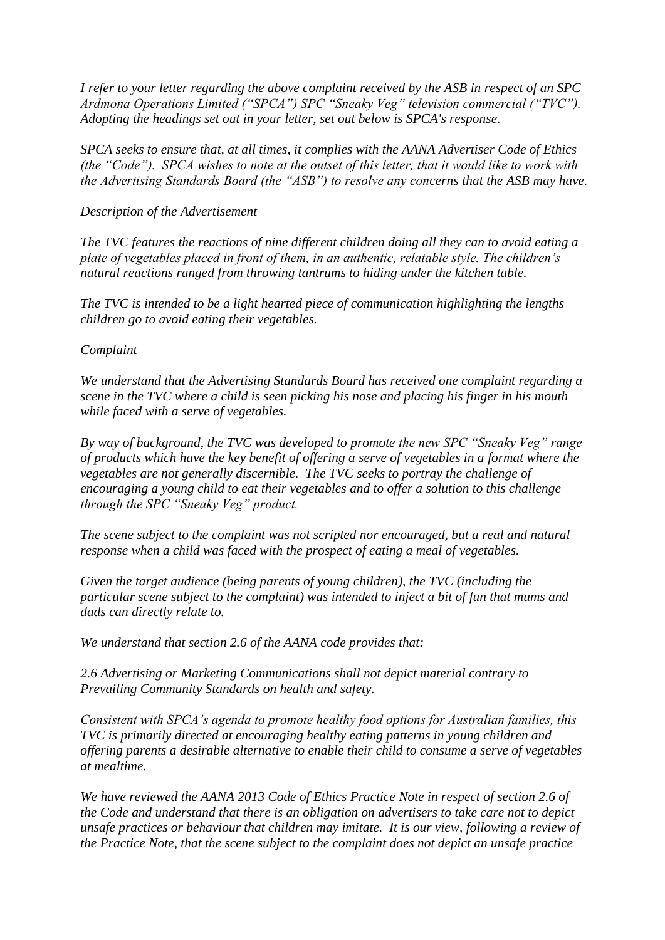*I refer to your letter regarding the above complaint received by the ASB in respect of an SPC Ardmona Operations Limited ("SPCA") SPC "Sneaky Veg" television commercial ("TVC"). Adopting the headings set out in your letter, set out below is SPCA's response.*

*SPCA seeks to ensure that, at all times, it complies with the AANA Advertiser Code of Ethics (the "Code"). SPCA wishes to note at the outset of this letter, that it would like to work with the Advertising Standards Board (the "ASB") to resolve any concerns that the ASB may have.* 

#### *Description of the Advertisement*

*The TVC features the reactions of nine different children doing all they can to avoid eating a plate of vegetables placed in front of them, in an authentic, relatable style. The children's natural reactions ranged from throwing tantrums to hiding under the kitchen table.* 

*The TVC is intended to be a light hearted piece of communication highlighting the lengths children go to avoid eating their vegetables.*

#### *Complaint*

*We understand that the Advertising Standards Board has received one complaint regarding a scene in the TVC where a child is seen picking his nose and placing his finger in his mouth while faced with a serve of vegetables.* 

*By way of background, the TVC was developed to promote the new SPC "Sneaky Veg" range of products which have the key benefit of offering a serve of vegetables in a format where the vegetables are not generally discernible. The TVC seeks to portray the challenge of encouraging a young child to eat their vegetables and to offer a solution to this challenge through the SPC "Sneaky Veg" product.*

*The scene subject to the complaint was not scripted nor encouraged, but a real and natural response when a child was faced with the prospect of eating a meal of vegetables.* 

*Given the target audience (being parents of young children), the TVC (including the particular scene subject to the complaint) was intended to inject a bit of fun that mums and dads can directly relate to.* 

*We understand that section 2.6 of the AANA code provides that:*

*2.6 Advertising or Marketing Communications shall not depict material contrary to Prevailing Community Standards on health and safety.*

*Consistent with SPCA's agenda to promote healthy food options for Australian families, this TVC is primarily directed at encouraging healthy eating patterns in young children and offering parents a desirable alternative to enable their child to consume a serve of vegetables at mealtime.* 

*We have reviewed the AANA 2013 Code of Ethics Practice Note in respect of section 2.6 of the Code and understand that there is an obligation on advertisers to take care not to depict unsafe practices or behaviour that children may imitate. It is our view, following a review of the Practice Note, that the scene subject to the complaint does not depict an unsafe practice*